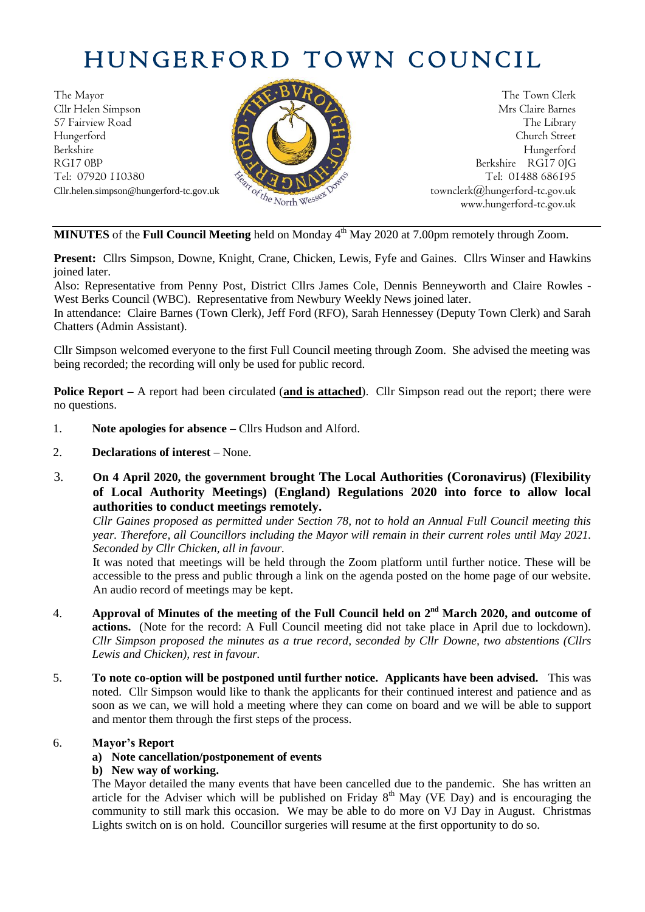# HUNGERFORD TOWN COUNCIL

The Mayor The Town Clerk Cllr Helen Simpson Mrs Claire Barnes 57 Fairview Road The Library<br>Hungerford Church Street Hungerford Church Street Berkshire Hungerford RG17 0BP Berkshire RG17 0JG Cllr.helen.simpson@hungerford-tc.gov.uk [townclerk@hungerford-tc.gov.uk](mailto:townclerk@hungerford-tc.gov.uk)



Tel: 07920 110380 Tel: 07920 110380 Tel: 01488 686195 Cllr.helen.simpson@hungerford-tc.gov.uk<br>Cllr.helen.simpson@hungerford-tc.gov.uk phytessextypessextypessextypessextypessextypessextypessextypessextypessextypessextypesse www.hungerford-tc.gov.uk

**MINUTES** of the **Full Council Meeting** held on Monday 4 th May 2020 at 7.00pm remotely through Zoom.

**Present:** Cllrs Simpson, Downe, Knight, Crane, Chicken, Lewis, Fyfe and Gaines. Cllrs Winser and Hawkins joined later.

Also: Representative from Penny Post, District Cllrs James Cole, Dennis Benneyworth and Claire Rowles - West Berks Council (WBC). Representative from Newbury Weekly News joined later.

In attendance: Claire Barnes (Town Clerk), Jeff Ford (RFO), Sarah Hennessey (Deputy Town Clerk) and Sarah Chatters (Admin Assistant).

Cllr Simpson welcomed everyone to the first Full Council meeting through Zoom. She advised the meeting was being recorded; the recording will only be used for public record.

**Police Report –** A report had been circulated (**and is attached**). Cllr Simpson read out the report; there were no questions.

- 1. **Note apologies for absence –** Cllrs Hudson and Alford.
- 2. **Declarations of interest** None.
- 3. **On 4 April 2020, the government brought The Local Authorities (Coronavirus) (Flexibility of Local Authority Meetings) (England) Regulations 2020 into force to allow local authorities to conduct meetings remotely.**

*Cllr Gaines proposed as permitted under Section 78, not to hold an Annual Full Council meeting this year. Therefore, all Councillors including the Mayor will remain in their current roles until May 2021. Seconded by Cllr Chicken, all in favour.*

It was noted that meetings will be held through the Zoom platform until further notice. These will be accessible to the press and public through a link on the agenda posted on the home page of our website. An audio record of meetings may be kept.

- 4. **Approval of Minutes of the meeting of the Full Council held on**  $2^{nd}$  **March 2020, and outcome of actions.** (Note for the record: A Full Council meeting did not take place in April due to lockdown). *Cllr Simpson proposed the minutes as a true record, seconded by Cllr Downe, two abstentions (Cllrs Lewis and Chicken), rest in favour.*
- 5. **To note co-option will be postponed until further notice. Applicants have been advised.** This was noted. Cllr Simpson would like to thank the applicants for their continued interest and patience and as soon as we can, we will hold a meeting where they can come on board and we will be able to support and mentor them through the first steps of the process.

## 6. **Mayor's Report**

## **a) Note cancellation/postponement of events**

#### **b) New way of working.**

The Mayor detailed the many events that have been cancelled due to the pandemic. She has written an article for the Adviser which will be published on Friday  $8<sup>th</sup>$  May (VE Day) and is encouraging the community to still mark this occasion. We may be able to do more on VJ Day in August. Christmas Lights switch on is on hold. Councillor surgeries will resume at the first opportunity to do so.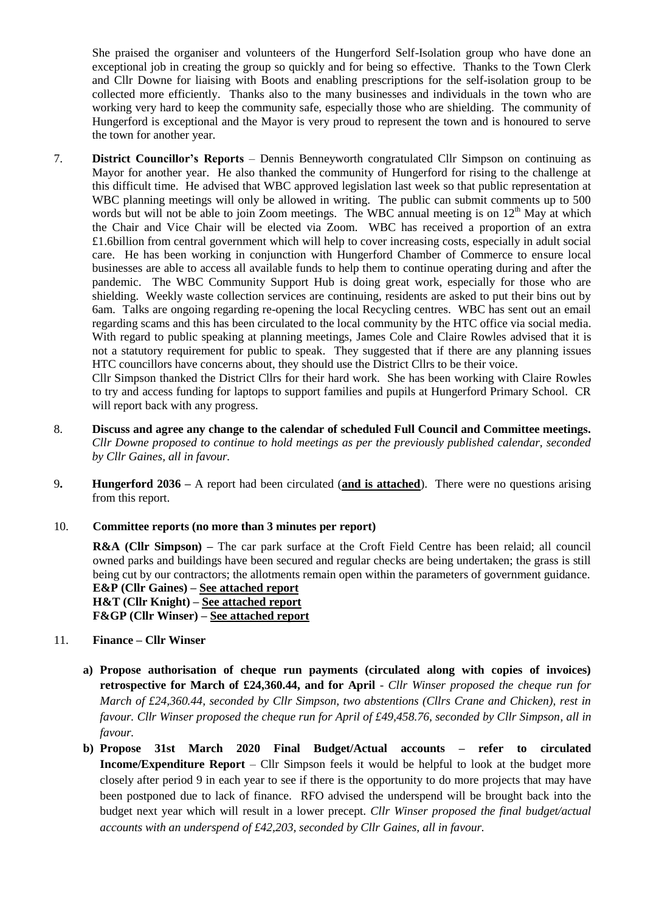She praised the organiser and volunteers of the Hungerford Self-Isolation group who have done an exceptional job in creating the group so quickly and for being so effective. Thanks to the Town Clerk and Cllr Downe for liaising with Boots and enabling prescriptions for the self-isolation group to be collected more efficiently. Thanks also to the many businesses and individuals in the town who are working very hard to keep the community safe, especially those who are shielding. The community of Hungerford is exceptional and the Mayor is very proud to represent the town and is honoured to serve the town for another year.

7. **District Councillor's Reports** – Dennis Benneyworth congratulated Cllr Simpson on continuing as Mayor for another year. He also thanked the community of Hungerford for rising to the challenge at this difficult time. He advised that WBC approved legislation last week so that public representation at WBC planning meetings will only be allowed in writing. The public can submit comments up to 500 words but will not be able to join Zoom meetings. The WBC annual meeting is on  $12<sup>th</sup>$  May at which the Chair and Vice Chair will be elected via Zoom. WBC has received a proportion of an extra £1.6billion from central government which will help to cover increasing costs, especially in adult social care. He has been working in conjunction with Hungerford Chamber of Commerce to ensure local businesses are able to access all available funds to help them to continue operating during and after the pandemic. The WBC Community Support Hub is doing great work, especially for those who are shielding. Weekly waste collection services are continuing, residents are asked to put their bins out by 6am. Talks are ongoing regarding re-opening the local Recycling centres. WBC has sent out an email regarding scams and this has been circulated to the local community by the HTC office via social media. With regard to public speaking at planning meetings, James Cole and Claire Rowles advised that it is not a statutory requirement for public to speak. They suggested that if there are any planning issues HTC councillors have concerns about, they should use the District Cllrs to be their voice.

Cllr Simpson thanked the District Cllrs for their hard work. She has been working with Claire Rowles to try and access funding for laptops to support families and pupils at Hungerford Primary School. CR will report back with any progress.

- 8. **Discuss and agree any change to the calendar of scheduled Full Council and Committee meetings.** *Cllr Downe proposed to continue to hold meetings as per the previously published calendar, seconded by Cllr Gaines, all in favour.*
- 9**. Hungerford 2036 –** A report had been circulated (**and is attached**). There were no questions arising from this report.
- 10. **Committee reports (no more than 3 minutes per report)**

**R&A (Cllr Simpson) –** The car park surface at the Croft Field Centre has been relaid; all council owned parks and buildings have been secured and regular checks are being undertaken; the grass is still being cut by our contractors; the allotments remain open within the parameters of government guidance.

**E&P (Cllr Gaines) – See attached report H&T (Cllr Knight) – See attached report F&GP (Cllr Winser) – See attached report**

- 11. **Finance – Cllr Winser**
	- **a) Propose authorisation of cheque run payments (circulated along with copies of invoices) retrospective for March of £24,360.44, and for April** - *Cllr Winser proposed the cheque run for March of £24,360.44, seconded by Cllr Simpson, two abstentions (Cllrs Crane and Chicken), rest in favour. Cllr Winser proposed the cheque run for April of £49,458.76, seconded by Cllr Simpson, all in favour.*
	- **b) Propose 31st March 2020 Final Budget/Actual accounts – refer to circulated Income/Expenditure Report** – Cllr Simpson feels it would be helpful to look at the budget more closely after period 9 in each year to see if there is the opportunity to do more projects that may have been postponed due to lack of finance. RFO advised the underspend will be brought back into the budget next year which will result in a lower precept. *Cllr Winser proposed the final budget/actual accounts with an underspend of £42,203, seconded by Cllr Gaines, all in favour.*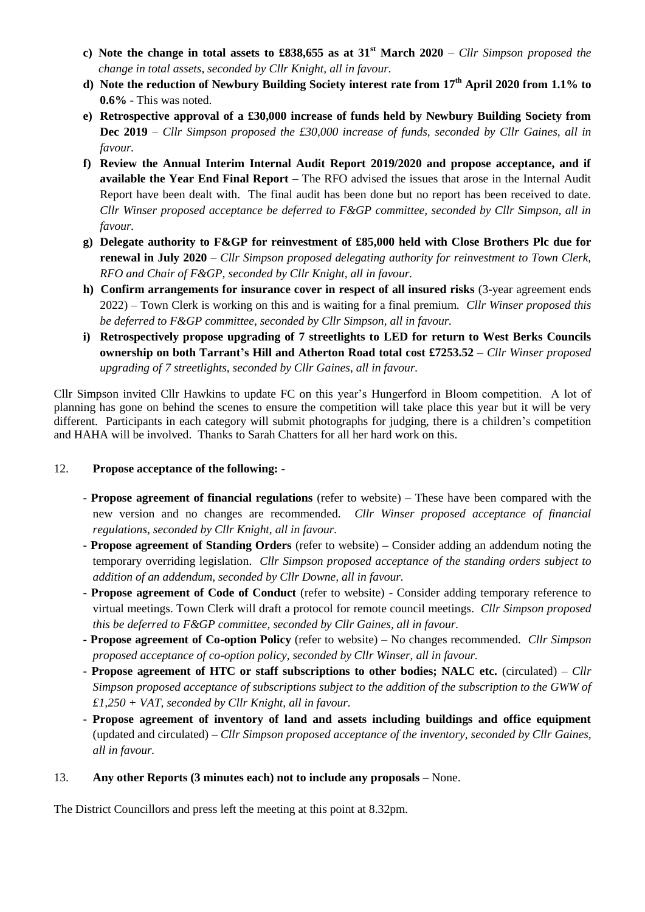- **c) Note the change in total assets to £838,655 as at 31st March 2020** *Cllr Simpson proposed the change in total assets, seconded by Cllr Knight, all in favour.*
- **d) Note the reduction of Newbury Building Society interest rate from 17th April 2020 from 1.1% to 0.6%** - This was noted.
- **e) Retrospective approval of a £30,000 increase of funds held by Newbury Building Society from Dec 2019** – *Cllr Simpson proposed the £30,000 increase of funds, seconded by Cllr Gaines, all in favour.*
- **f) Review the Annual Interim Internal Audit Report 2019/2020 and propose acceptance, and if available the Year End Final Report –** The RFO advised the issues that arose in the Internal Audit Report have been dealt with. The final audit has been done but no report has been received to date. *Cllr Winser proposed acceptance be deferred to F&GP committee, seconded by Cllr Simpson, all in favour.*
- **g) Delegate authority to F&GP for reinvestment of £85,000 held with Close Brothers Plc due for renewal in July 2020** – *Cllr Simpson proposed delegating authority for reinvestment to Town Clerk, RFO and Chair of F&GP, seconded by Cllr Knight, all in favour.*
- **h) Confirm arrangements for insurance cover in respect of all insured risks** (3-year agreement ends 2022) – Town Clerk is working on this and is waiting for a final premium. *Cllr Winser proposed this be deferred to F&GP committee, seconded by Cllr Simpson, all in favour.*
- **i) Retrospectively propose upgrading of 7 streetlights to LED for return to West Berks Councils ownership on both Tarrant's Hill and Atherton Road total cost £7253.52** – *Cllr Winser proposed upgrading of 7 streetlights, seconded by Cllr Gaines, all in favour.*

Cllr Simpson invited Cllr Hawkins to update FC on this year's Hungerford in Bloom competition. A lot of planning has gone on behind the scenes to ensure the competition will take place this year but it will be very different. Participants in each category will submit photographs for judging, there is a children's competition and HAHA will be involved. Thanks to Sarah Chatters for all her hard work on this.

## 12. **Propose acceptance of the following: -**

- **- Propose agreement of financial regulations** (refer to website) **–** These have been compared with the new version and no changes are recommended. *Cllr Winser proposed acceptance of financial regulations, seconded by Cllr Knight, all in favour.*
- **- Propose agreement of Standing Orders** (refer to website) **–** Consider adding an addendum noting the temporary overriding legislation. *Cllr Simpson proposed acceptance of the standing orders subject to addition of an addendum, seconded by Cllr Downe, all in favour.*
- **- Propose agreement of Code of Conduct** (refer to website) Consider adding temporary reference to virtual meetings. Town Clerk will draft a protocol for remote council meetings. *Cllr Simpson proposed this be deferred to F&GP committee, seconded by Cllr Gaines, all in favour.*
- **- Propose agreement of Co-option Policy** (refer to website) No changes recommended. *Cllr Simpson proposed acceptance of co-option policy, seconded by Cllr Winser, all in favour.*
- **- Propose agreement of HTC or staff subscriptions to other bodies; NALC etc.** (circulated) *Cllr Simpson proposed acceptance of subscriptions subject to the addition of the subscription to the GWW of £1,250 + VAT, seconded by Cllr Knight, all in favour.*
- **- Propose agreement of inventory of land and assets including buildings and office equipment**  (updated and circulated) – *Cllr Simpson proposed acceptance of the inventory, seconded by Cllr Gaines, all in favour.*

## 13. **Any other Reports (3 minutes each) not to include any proposals** – None.

The District Councillors and press left the meeting at this point at 8.32pm.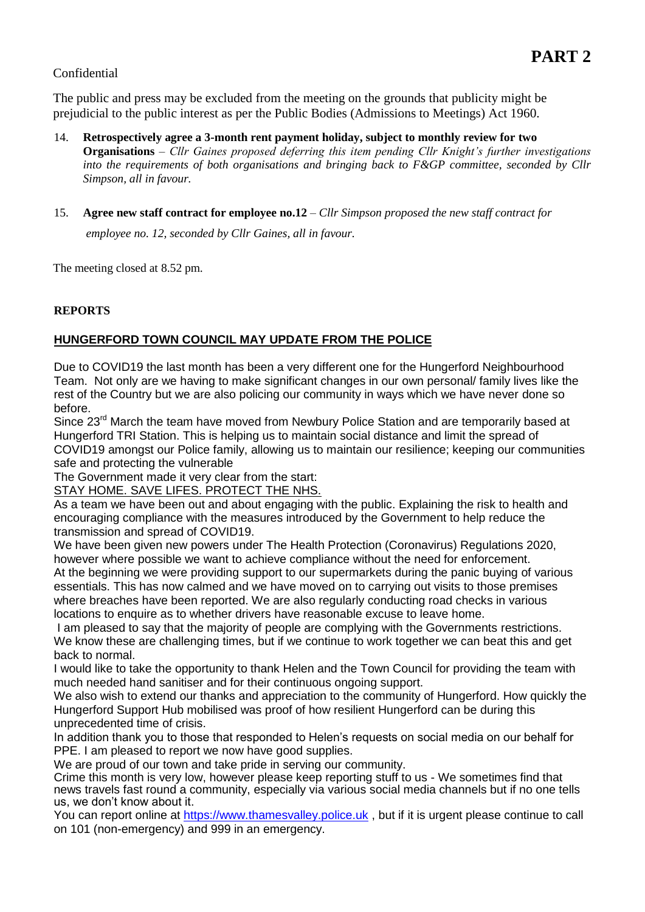## Confidential

The public and press may be excluded from the meeting on the grounds that publicity might be prejudicial to the public interest as per the Public Bodies (Admissions to Meetings) Act 1960.

- 14. **Retrospectively agree a 3-month rent payment holiday, subject to monthly review for two Organisations** *– Cllr Gaines proposed deferring this item pending Cllr Knight's further investigations into the requirements of both organisations and bringing back to F&GP committee, seconded by Cllr Simpson, all in favour.*
- 15. **Agree new staff contract for employee no.12** *– Cllr Simpson proposed the new staff contract for*

*employee no. 12, seconded by Cllr Gaines, all in favour.*

The meeting closed at 8.52 pm.

## **REPORTS**

# **HUNGERFORD TOWN COUNCIL MAY UPDATE FROM THE POLICE**

Due to COVID19 the last month has been a very different one for the Hungerford Neighbourhood Team. Not only are we having to make significant changes in our own personal/ family lives like the rest of the Country but we are also policing our community in ways which we have never done so before.

Since 23<sup>rd</sup> March the team have moved from Newbury Police Station and are temporarily based at Hungerford TRI Station. This is helping us to maintain social distance and limit the spread of COVID19 amongst our Police family, allowing us to maintain our resilience; keeping our communities safe and protecting the vulnerable

The Government made it very clear from the start:

STAY HOME. SAVE LIFES. PROTECT THE NHS.

As a team we have been out and about engaging with the public. Explaining the risk to health and encouraging compliance with the measures introduced by the Government to help reduce the transmission and spread of COVID19.

We have been given new powers under The Health Protection (Coronavirus) Regulations 2020, however where possible we want to achieve compliance without the need for enforcement. At the beginning we were providing support to our supermarkets during the panic buying of various essentials. This has now calmed and we have moved on to carrying out visits to those premises where breaches have been reported. We are also regularly conducting road checks in various locations to enquire as to whether drivers have reasonable excuse to leave home.

I am pleased to say that the majority of people are complying with the Governments restrictions. We know these are challenging times, but if we continue to work together we can beat this and get back to normal.

I would like to take the opportunity to thank Helen and the Town Council for providing the team with much needed hand sanitiser and for their continuous ongoing support.

We also wish to extend our thanks and appreciation to the community of Hungerford. How quickly the Hungerford Support Hub mobilised was proof of how resilient Hungerford can be during this unprecedented time of crisis.

In addition thank you to those that responded to Helen's requests on social media on our behalf for PPE. I am pleased to report we now have good supplies.

We are proud of our town and take pride in serving our community.

Crime this month is very low, however please keep reporting stuff to us - We sometimes find that news travels fast round a community, especially via various social media channels but if no one tells us, we don't know about it.

You can report online at [https://www.thamesvalley.police.uk](about:blank), but if it is urgent please continue to call on 101 (non-emergency) and 999 in an emergency.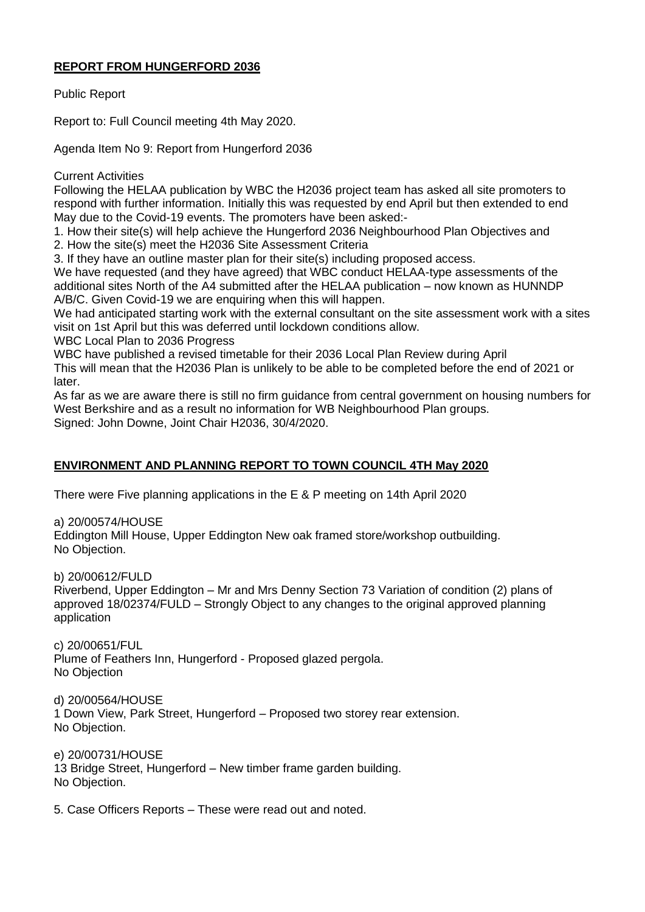## **REPORT FROM HUNGERFORD 2036**

Public Report

Report to: Full Council meeting 4th May 2020.

Agenda Item No 9: Report from Hungerford 2036

## Current Activities

Following the HELAA publication by WBC the H2036 project team has asked all site promoters to respond with further information. Initially this was requested by end April but then extended to end May due to the Covid-19 events. The promoters have been asked:-

1. How their site(s) will help achieve the Hungerford 2036 Neighbourhood Plan Objectives and

2. How the site(s) meet the H2036 Site Assessment Criteria

3. If they have an outline master plan for their site(s) including proposed access.

We have requested (and they have agreed) that WBC conduct HELAA-type assessments of the additional sites North of the A4 submitted after the HELAA publication – now known as HUNNDP A/B/C. Given Covid-19 we are enquiring when this will happen.

We had anticipated starting work with the external consultant on the site assessment work with a sites visit on 1st April but this was deferred until lockdown conditions allow.

WBC Local Plan to 2036 Progress

WBC have published a revised timetable for their 2036 Local Plan Review during April This will mean that the H2036 Plan is unlikely to be able to be completed before the end of 2021 or later.

As far as we are aware there is still no firm guidance from central government on housing numbers for West Berkshire and as a result no information for WB Neighbourhood Plan groups. Signed: John Downe, Joint Chair H2036, 30/4/2020.

# **ENVIRONMENT AND PLANNING REPORT TO TOWN COUNCIL 4TH May 2020**

There were Five planning applications in the E & P meeting on 14th April 2020

a) 20/00574/HOUSE

Eddington Mill House, Upper Eddington New oak framed store/workshop outbuilding. No Objection.

b) 20/00612/FULD

Riverbend, Upper Eddington – Mr and Mrs Denny Section 73 Variation of condition (2) plans of approved 18/02374/FULD – Strongly Object to any changes to the original approved planning application

c) 20/00651/FUL Plume of Feathers Inn, Hungerford - Proposed glazed pergola. No Objection

d) 20/00564/HOUSE 1 Down View, Park Street, Hungerford – Proposed two storey rear extension. No Objection.

e) 20/00731/HOUSE 13 Bridge Street, Hungerford – New timber frame garden building. No Objection.

5. Case Officers Reports – These were read out and noted.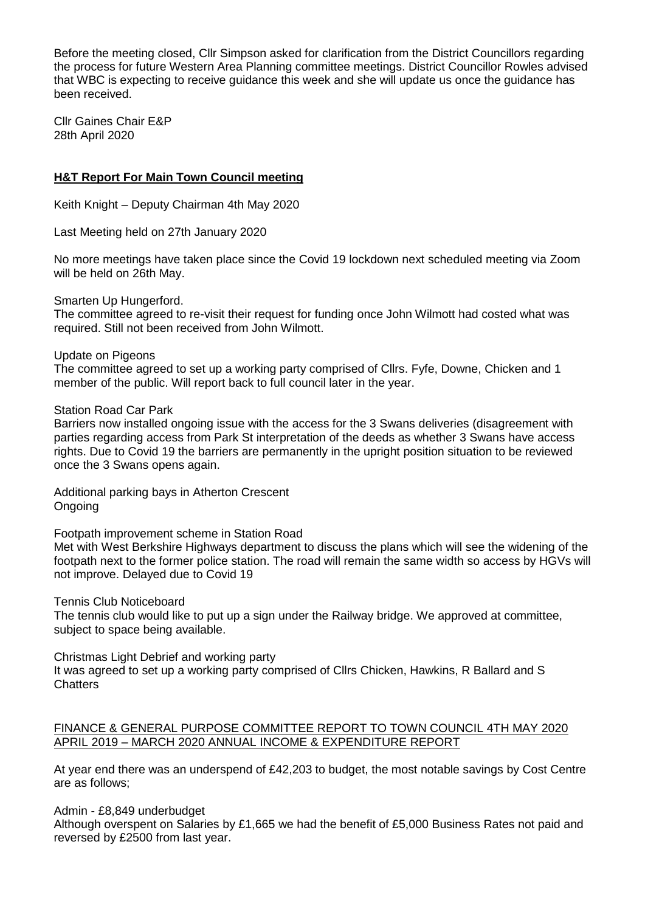Before the meeting closed, Cllr Simpson asked for clarification from the District Councillors regarding the process for future Western Area Planning committee meetings. District Councillor Rowles advised that WBC is expecting to receive guidance this week and she will update us once the guidance has been received.

Cllr Gaines Chair E&P 28th April 2020

## **H&T Report For Main Town Council meeting**

Keith Knight – Deputy Chairman 4th May 2020

Last Meeting held on 27th January 2020

No more meetings have taken place since the Covid 19 lockdown next scheduled meeting via Zoom will be held on 26th May.

Smarten Up Hungerford.

The committee agreed to re-visit their request for funding once John Wilmott had costed what was required. Still not been received from John Wilmott.

#### Update on Pigeons

The committee agreed to set up a working party comprised of Cllrs. Fyfe, Downe, Chicken and 1 member of the public. Will report back to full council later in the year.

Station Road Car Park

Barriers now installed ongoing issue with the access for the 3 Swans deliveries (disagreement with parties regarding access from Park St interpretation of the deeds as whether 3 Swans have access rights. Due to Covid 19 the barriers are permanently in the upright position situation to be reviewed once the 3 Swans opens again.

Additional parking bays in Atherton Crescent **Ongoing** 

Footpath improvement scheme in Station Road

Met with West Berkshire Highways department to discuss the plans which will see the widening of the footpath next to the former police station. The road will remain the same width so access by HGVs will not improve. Delayed due to Covid 19

Tennis Club Noticeboard

The tennis club would like to put up a sign under the Railway bridge. We approved at committee, subject to space being available.

Christmas Light Debrief and working party

It was agreed to set up a working party comprised of Cllrs Chicken, Hawkins, R Ballard and S **Chatters** 

## FINANCE & GENERAL PURPOSE COMMITTEE REPORT TO TOWN COUNCIL 4TH MAY 2020 APRIL 2019 – MARCH 2020 ANNUAL INCOME & EXPENDITURE REPORT

At year end there was an underspend of £42,203 to budget, the most notable savings by Cost Centre are as follows;

Admin - £8,849 underbudget

Although overspent on Salaries by £1,665 we had the benefit of £5,000 Business Rates not paid and reversed by £2500 from last year.